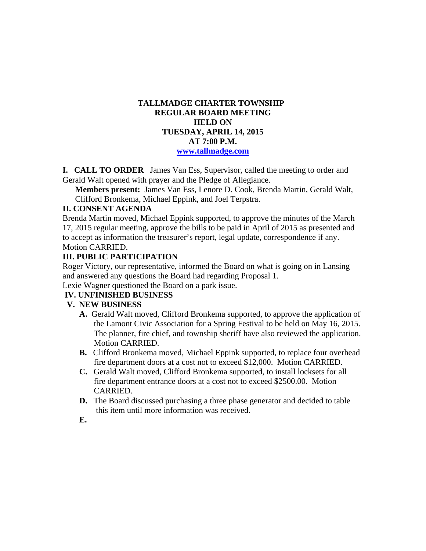## **TALLMADGE CHARTER TOWNSHIP REGULAR BOARD MEETING HELD ON TUESDAY, APRIL 14, 2015 AT 7:00 P.M. www.tallmadge.com**

**I. CALL TO ORDER** James Van Ess, Supervisor, called the meeting to order and Gerald Walt opened with prayer and the Pledge of Allegiance.

**Members present:** James Van Ess, Lenore D. Cook, Brenda Martin, Gerald Walt, Clifford Bronkema, Michael Eppink, and Joel Terpstra.

## **II. CONSENT AGENDA**

Brenda Martin moved, Michael Eppink supported, to approve the minutes of the March 17, 2015 regular meeting, approve the bills to be paid in April of 2015 as presented and to accept as information the treasurer's report, legal update, correspondence if any. Motion CARRIED.

## **III. PUBLIC PARTICIPATION**

Roger Victory, our representative, informed the Board on what is going on in Lansing and answered any questions the Board had regarding Proposal 1.

Lexie Wagner questioned the Board on a park issue.

## **IV. UNFINISHED BUSINESS**

## **V. NEW BUSINESS**

- **A.** Gerald Walt moved, Clifford Bronkema supported, to approve the application of the Lamont Civic Association for a Spring Festival to be held on May 16, 2015. The planner, fire chief, and township sheriff have also reviewed the application. Motion CARRIED.
- **B.** Clifford Bronkema moved, Michael Eppink supported, to replace four overhead fire department doors at a cost not to exceed \$12,000. Motion CARRIED.
- **C.** Gerald Walt moved, Clifford Bronkema supported, to install locksets for all fire department entrance doors at a cost not to exceed \$2500.00. Motion CARRIED.
- **D.** The Board discussed purchasing a three phase generator and decided to table this item until more information was received.
- **E.**